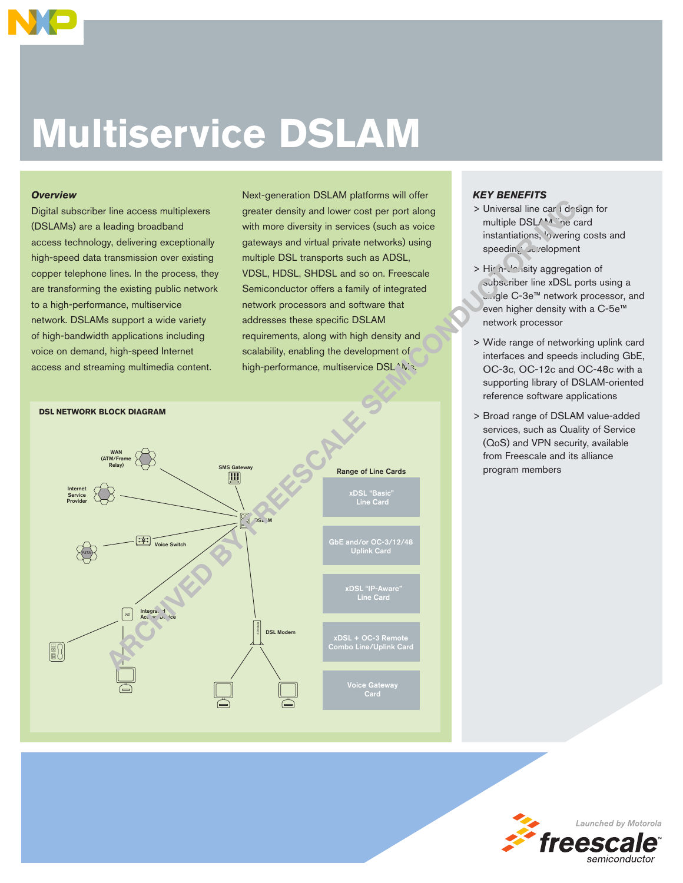

# **Multiservice DSLAM**

### *Overview*

Digital subscriber line access multiplexers (DSLAMs) are a leading broadband access technology, delivering exceptionally high-speed data transmission over existing copper telephone lines. In the process, they are transforming the existing public network to a high-performance, multiservice network. DSLAMs support a wide variety of high-bandwidth applications including voice on demand, high-speed Internet access and streaming multimedia content.

Next-generation DSLAM platforms will offer greater density and lower cost per port along with more diversity in services (such as voice gateways and virtual private networks) using multiple DSL transports such as ADSL, VDSL, HDSL, SHDSL and so on. Freescale Semiconductor offers a family of integrated network processors and software that addresses these specific DSLAM requirements, along with high density and scalability, enabling the development of high-performance, multiservice DSL^N.s.



### *KEY BENEFITS*

- > Universal line car I design for multiple DSLAM ine card instantiations, 'owering costs and speeding development
- > High-density aggregation of subscriber line xDSL ports using a single C-3e™ network processor, and even higher density with a C-5e™ network processor
- > Wide range of networking uplink card interfaces and speeds including GbE, OC-3c, OC-12c and OC-48c with a supporting library of DSLAM-oriented reference software applications
- > Broad range of DSLAM value-added services, such as Quality of Service (QoS) and VPN security, available from Freescale and its alliance program members

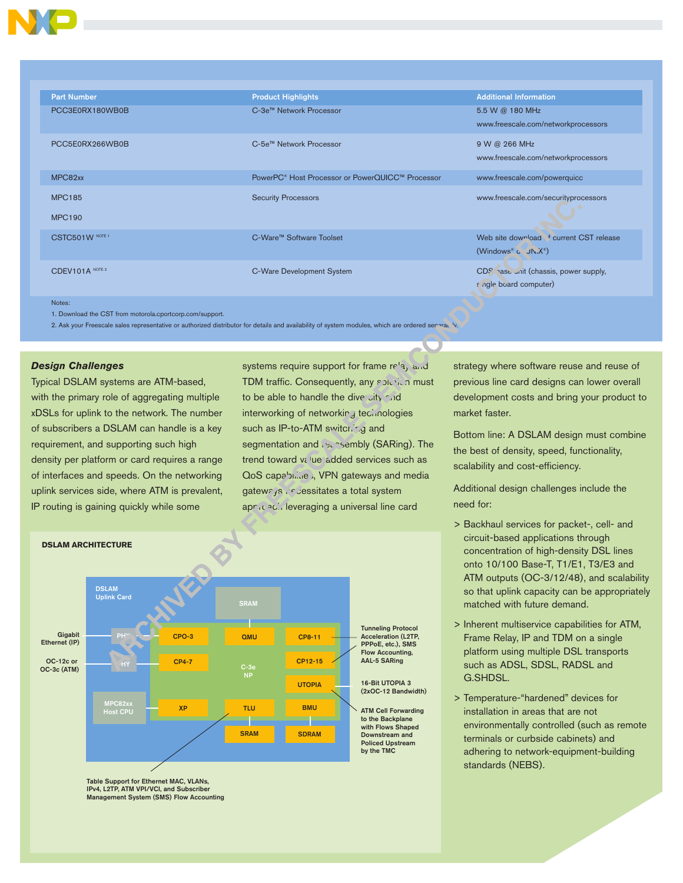

| <b>Part Number</b> | <b>Product Highlights</b>                                    | <b>Additional Information</b>           |
|--------------------|--------------------------------------------------------------|-----------------------------------------|
| PCC3E0RX180WB0B    | C-3e™ Network Processor                                      | 5.5 W @ 180 MHz                         |
|                    |                                                              | www.freescale.com/networkprocessors     |
| PCC5E0RX266WB0B    | C-5e™ Network Processor                                      | 9 W @ 266 MHz                           |
|                    |                                                              | www.freescale.com/networkprocessors     |
| MPC82xx            | PowerPC <sup>®</sup> Host Processor or PowerQUICC™ Processor | www.freescale.com/powerquicc            |
| <b>MPC185</b>      | <b>Security Processors</b>                                   | www.freescale.com/securityprocessors    |
| <b>MPC190</b>      |                                                              |                                         |
| CSTC501W NOTE 1    | C-Ware™ Software Toolset                                     | Web site download f current CST release |
|                    |                                                              | $(Windows® C. JN.X®)$                   |
| CDEV101A NOTE 2    | C-Ware Development System                                    | CDS hase unit (chassis, power supply,   |
|                    |                                                              | f ngle board computer)                  |
| Notes:             |                                                              |                                         |

1. Download the CST from motorola.cportcorp.com/support.

2. Ask your Freescale sales representative or authorized distributor for details and availability of system modules, which are ordered separately.

### *Design Challenges*

Typical DSLAM systems are ATM-based, with the primary role of aggregating multiple xDSLs for uplink to the network. The number of subscribers a DSLAM can handle is a key requirement, and supporting such high density per platform or card requires a range of interfaces and speeds. On the networking uplink services side, where ATM is prevalent, IP routing is gaining quickly while some

> IPv4, L2TP, ATM VPI/VCI, and Subscriber Management System (SMS) Flow Accounting

systems require support for frame relay and TDM traffic. Consequently, any solution must to be able to handle the diversity rind interworking of networking technologies such as IP-to-ATM switching and segmentation and usersembly (SARing). The trend toward value-added services such as QoS capabilities, VPN gateways and media gateways incluentates a total system apricaci leveraging a universal line card



strategy where software reuse and reuse of previous line card designs can lower overall development costs and bring your product to market faster.

Bottom line: A DSLAM design must combine the best of density, speed, functionality, scalability and cost-efficiency.

Additional design challenges include the need for:

- > Backhaul services for packet-, cell- and circuit-based applications through concentration of high-density DSL lines onto 10/100 Base-T, T1/E1, T3/E3 and ATM outputs (OC-3/12/48), and scalability so that uplink capacity can be appropriately matched with future demand.
- > Inherent multiservice capabilities for ATM, Frame Relay, IP and TDM on a single platform using multiple DSL transports such as ADSL, SDSL, RADSL and G.SHDSL.
- > Temperature-"hardened" devices for installation in areas that are not environmentally controlled (such as remote terminals or curbside cabinets) and adhering to network-equipment-building standards (NEBS).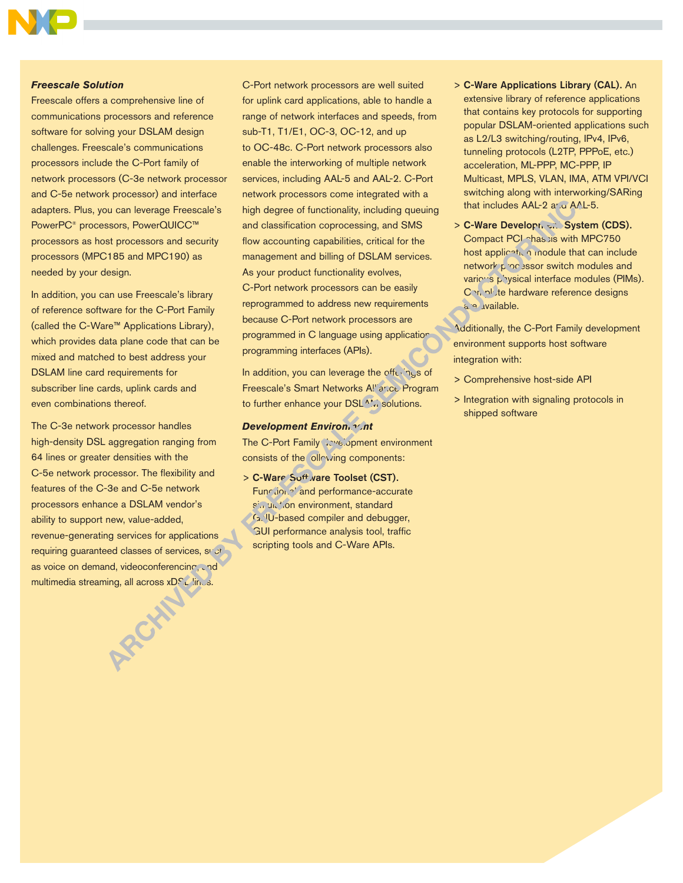

#### *Freescale Solution*

Freescale offers a comprehensive line of communications processors and reference software for solving your DSLAM design challenges. Freescale's communications processors include the C-Port family of network processors (C-3e network processor and C-5e network processor) and interface adapters. Plus, you can leverage Freescale's PowerPC® processors, PowerQUICC™ processors as host processors and security processors (MPC185 and MPC190) as needed by your design.

In addition, you can use Freescale's library of reference software for the C-Port Family (called the C-Ware™ Applications Library), which provides data plane code that can be mixed and matched to best address your DSLAM line card requirements for subscriber line cards, uplink cards and even combinations thereof.

The C-3e network processor handles high-density DSL aggregation ranging from 64 lines or greater densities with the C-5e network processor. The flexibility and features of the C-3e and C-5e network processors enhance a DSLAM vendor's ability to support new, value-added, revenue-generating services for applications requiring guaranteed classes of services, such as voice on demand, videoconferencing, and multimedia streaming, all across xDSL lines.

C-Port network processors are well suited for uplink card applications, able to handle a range of network interfaces and speeds, from sub-T1, T1/E1, OC-3, OC-12, and up to OC-48c. C-Port network processors also enable the interworking of multiple network services, including AAL-5 and AAL-2. C-Port network processors come integrated with a high degree of functionality, including queuing and classification coprocessing, and SMS flow accounting capabilities, critical for the management and billing of DSLAM services. As your product functionality evolves, C-Port network processors can be easily reprogrammed to address new requirements because C-Port network processors are programmed in C language using application programming interfaces (APIs).

In addition, you can leverage the offerings of Freescale's Smart Networks All'ance Program to further enhance your DSL<sup>A</sup>'. solutions.

## *Development Environment*

The C-Port Family Covelopment environment consists of the ollowing components:

> C-Ware Soft vare Toolset (CST). Function.<sup>2</sup> and performance-accurate simulation environment, standard G. U-based compiler and debugger, GUI performance analysis tool, traffic scripting tools and C-Ware APIs.

- > C-Ware Applications Library (CAL). An extensive library of reference applications that contains key protocols for supporting popular DSLAM-oriented applications such as L2/L3 switching/routing, IPv4, IPv6, tunneling protocols (L2TP, PPPoE, etc.) acceleration, ML-PPP, MC-PPP, IP Multicast, MPLS, VLAN, IMA, ATM VPI/VCI switching along with interworking/SARing that includes AAL-2 and AAL-5.
- > C-Ware Development System (CDS). Compact PCI chassis with MPC750 host application module that can include network processor switch modules and various physical interface modules (PIMs). Complete hardware reference designs a<sup>o</sup> available.

Additionally, the C-Port Family development environment supports host software integration with:

- > Comprehensive host-side API
- > Integration with signaling protocols in shipped software